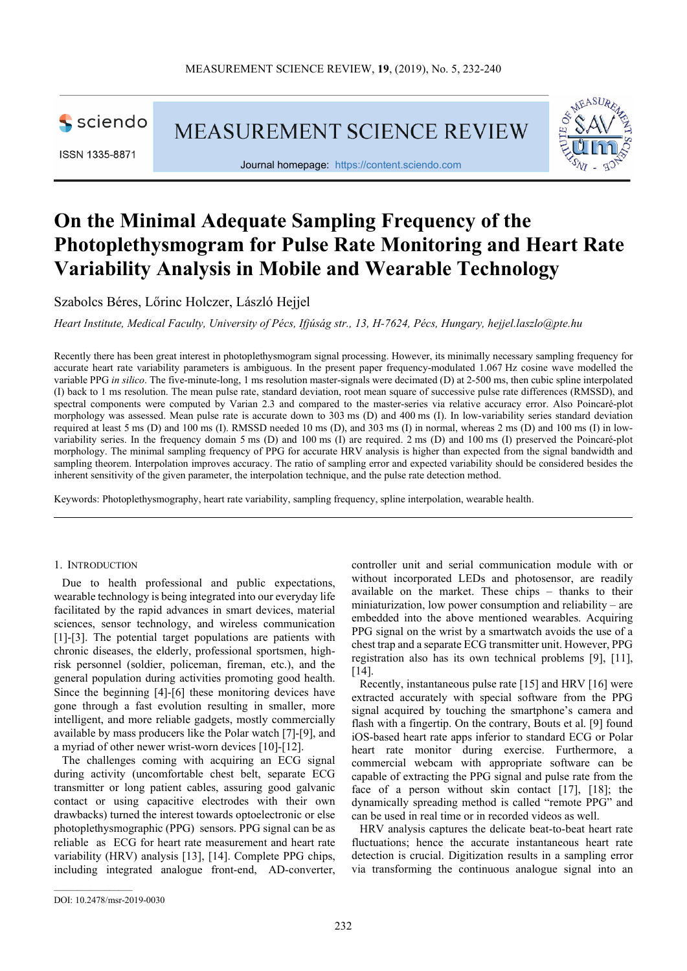

ISSN 1335-8871

**MEASUREMENT SCIENCE REVIEW** 



Journal homepage: https://content.sciendo.com

# **On the Minimal Adequate Sampling Frequency of the Photoplethysmogram for Pulse Rate Monitoring and Heart Rate Variability Analysis in Mobile and Wearable Technology**

Szabolcs Béres, Lőrinc Holczer, László Hejjel

*Heart Institute, Medical Faculty, University of Pécs, Ifjúság str., 13, H-7624, Pécs, Hungary, hejjel.laszlo@pte.hu* 

Recently there has been great interest in photoplethysmogram signal processing. However, its minimally necessary sampling frequency for accurate heart rate variability parameters is ambiguous. In the present paper frequency-modulated 1.067 Hz cosine wave modelled the variable PPG *in silico*. The five-minute-long, 1 ms resolution master-signals were decimated (D) at 2-500 ms, then cubic spline interpolated (I) back to 1 ms resolution. The mean pulse rate, standard deviation, root mean square of successive pulse rate differences (RMSSD), and spectral components were computed by Varian 2.3 and compared to the master-series via relative accuracy error. Also Poincaré-plot morphology was assessed. Mean pulse rate is accurate down to 303 ms (D) and 400 ms (I). In low-variability series standard deviation required at least 5 ms (D) and 100 ms (I). RMSSD needed 10 ms (D), and 303 ms (I) in normal, whereas 2 ms (D) and 100 ms (I) in lowvariability series. In the frequency domain 5 ms (D) and 100 ms (I) are required. 2 ms (D) and 100 ms (I) preserved the Poincaré-plot morphology. The minimal sampling frequency of PPG for accurate HRV analysis is higher than expected from the signal bandwidth and sampling theorem. Interpolation improves accuracy. The ratio of sampling error and expected variability should be considered besides the inherent sensitivity of the given parameter, the interpolation technique, and the pulse rate detection method.

Keywords: Photoplethysmography, heart rate variability, sampling frequency, spline interpolation, wearable health.

## 1. INTRODUCTION

Due to health professional and public expectations, wearable technology is being integrated into our everyday life facilitated by the rapid advances in smart devices, material sciences, sensor technology, and wireless communication [1]-[3]. The potential target populations are patients with chronic diseases, the elderly, professional sportsmen, highrisk personnel (soldier, policeman, fireman, etc.), and the general population during activities promoting good health. Since the beginning [4]-[6] these monitoring devices have gone through a fast evolution resulting in smaller, more intelligent, and more reliable gadgets, mostly commercially available by mass producers like the Polar watch [7]-[9], and a myriad of other newer wrist-worn devices [10]-[12].

The challenges coming with acquiring an ECG signal during activity (uncomfortable chest belt, separate ECG transmitter or long patient cables, assuring good galvanic contact or using capacitive electrodes with their own drawbacks) turned the interest towards optoelectronic or else photoplethysmographic (PPG) sensors. PPG signal can be as reliable as ECG for heart rate measurement and heart rate variability (HRV) analysis [13], [14]. Complete PPG chips, including integrated analogue front-end, AD-converter, controller unit and serial communication module with or without incorporated LEDs and photosensor, are readily available on the market. These chips – thanks to their miniaturization, low power consumption and reliability – are embedded into the above mentioned wearables. Acquiring PPG signal on the wrist by a smartwatch avoids the use of a chest trap and a separate ECG transmitter unit. However, PPG registration also has its own technical problems [9], [11],  $[14]$ .

Recently, instantaneous pulse rate [15] and HRV [16] were extracted accurately with special software from the PPG signal acquired by touching the smartphone's camera and flash with a fingertip. On the contrary, Bouts et al. [9] found iOS-based heart rate apps inferior to standard ECG or Polar heart rate monitor during exercise. Furthermore, a commercial webcam with appropriate software can be capable of extracting the PPG signal and pulse rate from the face of a person without skin contact [17], [18]; the dynamically spreading method is called "remote PPG" and can be used in real time or in recorded videos as well.

HRV analysis captures the delicate beat-to-beat heart rate fluctuations; hence the accurate instantaneous heart rate detection is crucial. Digitization results in a sampling error via transforming the continuous analogue signal into an

DOI: 10.2478/msr-2019-0030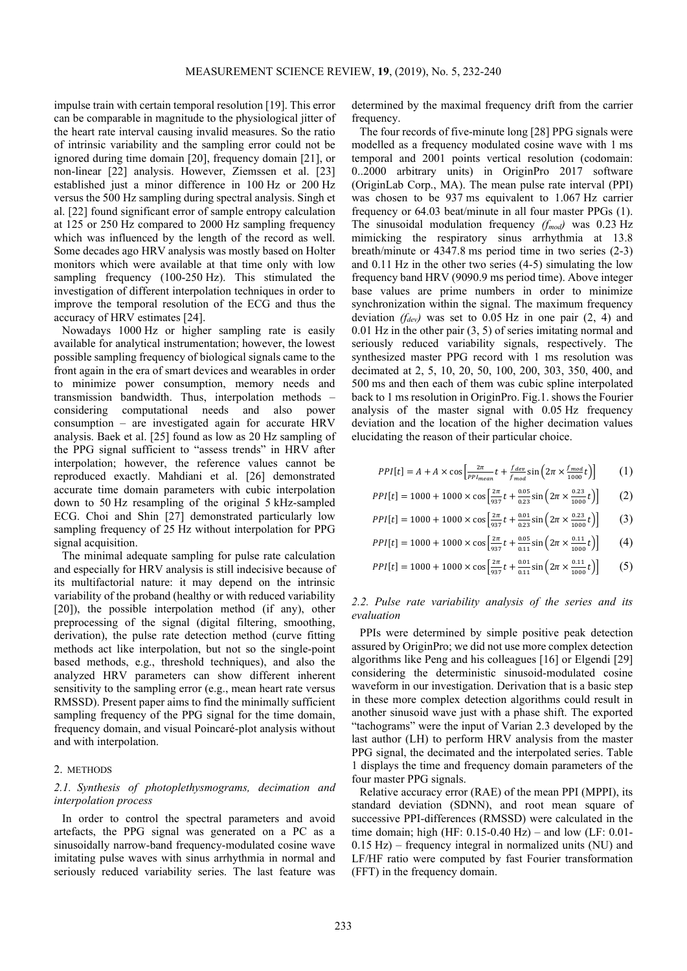-

 $\overline{F}$ 

impulse train with certain temporal resolution [19]. This error can be comparable in magnitude to the physiological jitter of the heart rate interval causing invalid measures. So the ratio of intrinsic variability and the sampling error could not be ignored during time domain [20], frequency domain [21], or non-linear [22] analysis. However, Ziemssen et al. [23] established just a minor difference in 100 Hz or 200 Hz versus the 500 Hz sampling during spectral analysis. Singh et al. [22] found significant error of sample entropy calculation at 125 or 250 Hz compared to 2000 Hz sampling frequency which was influenced by the length of the record as well. Some decades ago HRV analysis was mostly based on Holter monitors which were available at that time only with low sampling frequency (100-250 Hz). This stimulated the investigation of different interpolation techniques in order to improve the temporal resolution of the ECG and thus the accuracy of HRV estimates [24].

Nowadays 1000 Hz or higher sampling rate is easily available for analytical instrumentation; however, the lowest possible sampling frequency of biological signals came to the front again in the era of smart devices and wearables in order to minimize power consumption, memory needs and transmission bandwidth. Thus, interpolation methods – considering computational needs and also power consumption – are investigated again for accurate HRV analysis. Baek et al. [25] found as low as 20 Hz sampling of the PPG signal sufficient to "assess trends" in HRV after interpolation; however, the reference values cannot be reproduced exactly. Mahdiani et al. [26] demonstrated accurate time domain parameters with cubic interpolation down to 50 Hz resampling of the original 5 kHz-sampled ECG. Choi and Shin [27] demonstrated particularly low sampling frequency of 25 Hz without interpolation for PPG signal acquisition.

The minimal adequate sampling for pulse rate calculation and especially for HRV analysis is still indecisive because of its multifactorial nature: it may depend on the intrinsic variability of the proband (healthy or with reduced variability [20]), the possible interpolation method (if any), other preprocessing of the signal (digital filtering, smoothing, derivation), the pulse rate detection method (curve fitting methods act like interpolation, but not so the single-point based methods, e.g., threshold techniques), and also the analyzed HRV parameters can show different inherent sensitivity to the sampling error (e.g., mean heart rate versus RMSSD). Present paper aims to find the minimally sufficient sampling frequency of the PPG signal for the time domain, frequency domain, and visual Poincaré-plot analysis without and with interpolation.

#### 2. METHODS

# *2.1. Synthesis of photoplethysmograms, decimation and interpolation process*

In order to control the spectral parameters and avoid artefacts, the PPG signal was generated on a PC as a sinusoidally narrow-band frequency-modulated cosine wave imitating pulse waves with sinus arrhythmia in normal and seriously reduced variability series. The last feature was determined by the maximal frequency drift from the carrier frequency.

The four records of five-minute long [28] PPG signals were modelled as a frequency modulated cosine wave with 1 ms temporal and 2001 points vertical resolution (codomain: 0..2000 arbitrary units) in OriginPro 2017 software (OriginLab Corp., MA). The mean pulse rate interval (PPI) was chosen to be 937 ms equivalent to 1.067 Hz carrier frequency or 64.03 beat/minute in all four master PPGs (1). The sinusoidal modulation frequency *(fmod)* was 0.23 Hz mimicking the respiratory sinus arrhythmia at 13.8 breath/minute or 4347.8 ms period time in two series (2-3) and 0.11 Hz in the other two series (4-5) simulating the low frequency band HRV (9090.9 ms period time). Above integer base values are prime numbers in order to minimize synchronization within the signal. The maximum frequency deviation *(fdev)* was set to 0.05 Hz in one pair (2, 4) and 0.01 Hz in the other pair (3, 5) of series imitating normal and seriously reduced variability signals, respectively. The synthesized master PPG record with 1 ms resolution was decimated at 2, 5, 10, 20, 50, 100, 200, 303, 350, 400, and 500 ms and then each of them was cubic spline interpolated back to 1 ms resolution in OriginPro. Fig.1. shows the Fourier analysis of the master signal with 0.05 Hz frequency deviation and the location of the higher decimation values elucidating the reason of their particular choice.

$$
PPI[t] = A + A \times \cos\left[\frac{2\pi}{PPI_{mean}}t + \frac{f_{dev}}{f_{mod}}\sin\left(2\pi \times \frac{f_{mod}}{1000}t\right)\right]
$$
 (1)

$$
PPI[t] = 1000 + 1000 \times \cos\left[\frac{2\pi}{937}t + \frac{0.05}{0.23}\sin\left(2\pi \times \frac{0.23}{1000}t\right)\right] \tag{2}
$$

$$
PI[t] = 1000 + 1000 \times \cos\left[\frac{2\pi}{937}t + \frac{0.01}{0.23}\sin\left(2\pi \times \frac{0.23}{1000}t\right)\right] \tag{3}
$$

$$
PPI[t] = 1000 + 1000 \times \cos\left[\frac{2\pi}{937}t + \frac{0.05}{0.11}\sin\left(2\pi \times \frac{0.11}{1000}t\right)\right] \tag{4}
$$

$$
PPI[t] = 1000 + 1000 \times \cos\left[\frac{2\pi}{937}t + \frac{0.01}{0.11}\sin\left(2\pi \times \frac{0.11}{1000}t\right)\right] \tag{5}
$$

## *2.2. Pulse rate variability analysis of the series and its evaluation*

PPIs were determined by simple positive peak detection assured by OriginPro; we did not use more complex detection algorithms like Peng and his colleagues [16] or Elgendi [29] considering the deterministic sinusoid-modulated cosine waveform in our investigation. Derivation that is a basic step in these more complex detection algorithms could result in another sinusoid wave just with a phase shift. The exported "tachograms" were the input of Varian 2.3 developed by the last author (LH) to perform HRV analysis from the master PPG signal, the decimated and the interpolated series. Table 1 displays the time and frequency domain parameters of the four master PPG signals.

Relative accuracy error (RAE) of the mean PPI (MPPI), its standard deviation (SDNN), and root mean square of successive PPI-differences (RMSSD) were calculated in the time domain; high (HF: 0.15-0.40 Hz) – and low (LF: 0.01- 0.15 Hz) – frequency integral in normalized units (NU) and LF/HF ratio were computed by fast Fourier transformation (FFT) in the frequency domain.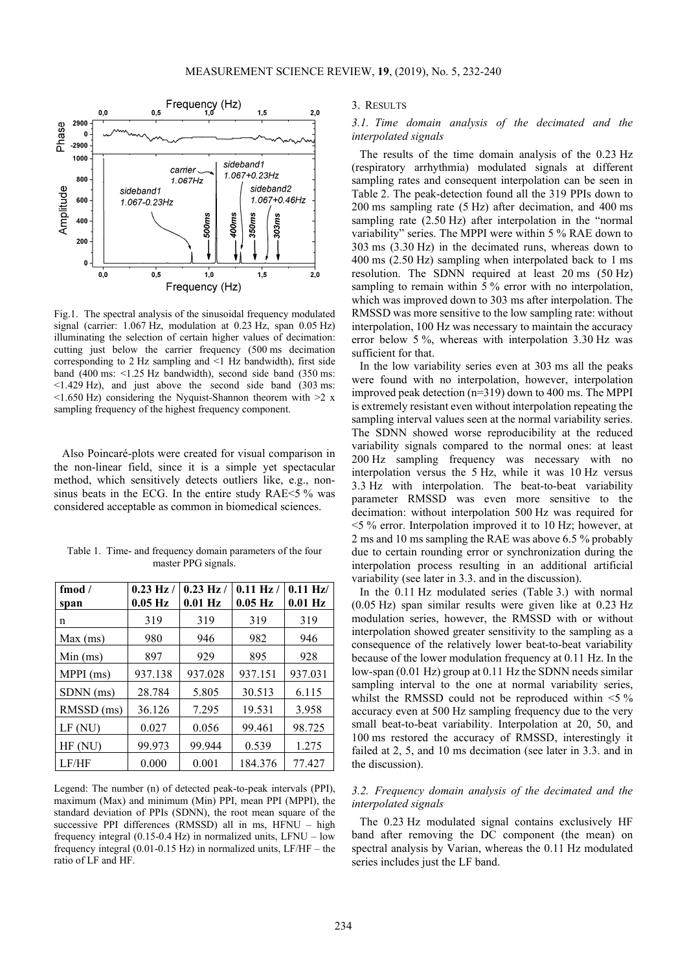

Fig.1. The spectral analysis of the sinusoidal frequency modulated signal (carrier: 1.067 Hz, modulation at 0.23 Hz, span 0.05 Hz) illuminating the selection of certain higher values of decimation: cutting just below the carrier frequency (500 ms decimation corresponding to 2 Hz sampling and <1 Hz bandwidth), first side band (400 ms: <1.25 Hz bandwidth), second side band (350 ms: <1.429 Hz), and just above the second side band (303 ms:  $\leq$ 1.650 Hz) considering the Nyquist-Shannon theorem with  $\geq$  x sampling frequency of the highest frequency component.

Also Poincaré-plots were created for visual comparison in the non-linear field, since it is a simple yet spectacular method, which sensitively detects outliers like, e.g., nonsinus beats in the ECG. In the entire study RAE<5 % was considered acceptable as common in biomedical sciences.

Table 1. Time- and frequency domain parameters of the four master PPG signals.

| fmod $/$<br>span | $0.23$ Hz /<br>$0.05$ Hz | $0.23$ Hz /<br>$0.01$ Hz | $0.11$ Hz $/$<br>$0.05$ Hz | $0.11$ Hz/<br>$0.01$ Hz |
|------------------|--------------------------|--------------------------|----------------------------|-------------------------|
| n                | 319                      | 319                      | 319                        | 319                     |
| Max (ms)         | 980                      | 946                      | 982                        | 946                     |
| Min (ms)         | 897                      | 929                      | 895                        | 928                     |
| MPPI (ms)        | 937.138                  | 937.028                  | 937.151                    | 937.031                 |
| SDNN (ms)        | 28.784                   | 5.805                    | 30.513                     | 6.115                   |
| RMSSD (ms)       | 36.126                   | 7.295                    | 19.531                     | 3.958                   |
| LF(NU)           | 0.027                    | 0.056                    | 99.461                     | 98.725                  |
| HF (NU)          | 99.973                   | 99.944                   | 0.539                      | 1.275                   |
| LF/HF            | 0.000                    | 0.001                    | 184.376                    | 77.427                  |

Legend: The number (n) of detected peak-to-peak intervals (PPI), maximum (Max) and minimum (Min) PPI, mean PPI (MPPI), the standard deviation of PPIs (SDNN), the root mean square of the successive PPI differences (RMSSD) all in ms, HFNU – high frequency integral (0.15-0.4 Hz) in normalized units, LFNU – low frequency integral (0.01-0.15 Hz) in normalized units, LF/HF – the ratio of LF and HF.

3. RESULTS

# *3.1. Time domain analysis of the decimated and the interpolated signals*

The results of the time domain analysis of the 0.23 Hz (respiratory arrhythmia) modulated signals at different sampling rates and consequent interpolation can be seen in Table 2. The peak-detection found all the 319 PPIs down to 200 ms sampling rate (5 Hz) after decimation, and 400 ms sampling rate (2.50 Hz) after interpolation in the "normal variability" series. The MPPI were within 5 % RAE down to 303 ms (3.30 Hz) in the decimated runs, whereas down to 400 ms (2.50 Hz) sampling when interpolated back to 1 ms resolution. The SDNN required at least 20 ms (50 Hz) sampling to remain within 5 % error with no interpolation, which was improved down to 303 ms after interpolation. The RMSSD was more sensitive to the low sampling rate: without interpolation, 100 Hz was necessary to maintain the accuracy error below 5 %, whereas with interpolation 3.30 Hz was sufficient for that.

In the low variability series even at 303 ms all the peaks were found with no interpolation, however, interpolation improved peak detection (n=319) down to 400 ms. The MPPI is extremely resistant even without interpolation repeating the sampling interval values seen at the normal variability series. The SDNN showed worse reproducibility at the reduced variability signals compared to the normal ones: at least 200 Hz sampling frequency was necessary with no interpolation versus the 5 Hz, while it was 10 Hz versus 3.3 Hz with interpolation. The beat-to-beat variability parameter RMSSD was even more sensitive to the decimation: without interpolation 500 Hz was required for  $\leq$  5 % error. Interpolation improved it to 10 Hz; however, at 2 ms and 10 ms sampling the RAE was above 6.5 % probably due to certain rounding error or synchronization during the interpolation process resulting in an additional artificial variability (see later in 3.3. and in the discussion).

In the 0.11 Hz modulated series (Table 3.) with normal (0.05 Hz) span similar results were given like at 0.23 Hz modulation series, however, the RMSSD with or without interpolation showed greater sensitivity to the sampling as a consequence of the relatively lower beat-to-beat variability because of the lower modulation frequency at 0.11 Hz. In the low-span (0.01 Hz) group at 0.11 Hz the SDNN needs similar sampling interval to the one at normal variability series, whilst the RMSSD could not be reproduced within <5 % accuracy even at 500 Hz sampling frequency due to the very small beat-to-beat variability. Interpolation at 20, 50, and 100 ms restored the accuracy of RMSSD, interestingly it failed at 2, 5, and 10 ms decimation (see later in 3.3. and in the discussion).

# *3.2. Frequency domain analysis of the decimated and the interpolated signals*

The 0.23 Hz modulated signal contains exclusively HF band after removing the DC component (the mean) on spectral analysis by Varian, whereas the 0.11 Hz modulated series includes just the LF band.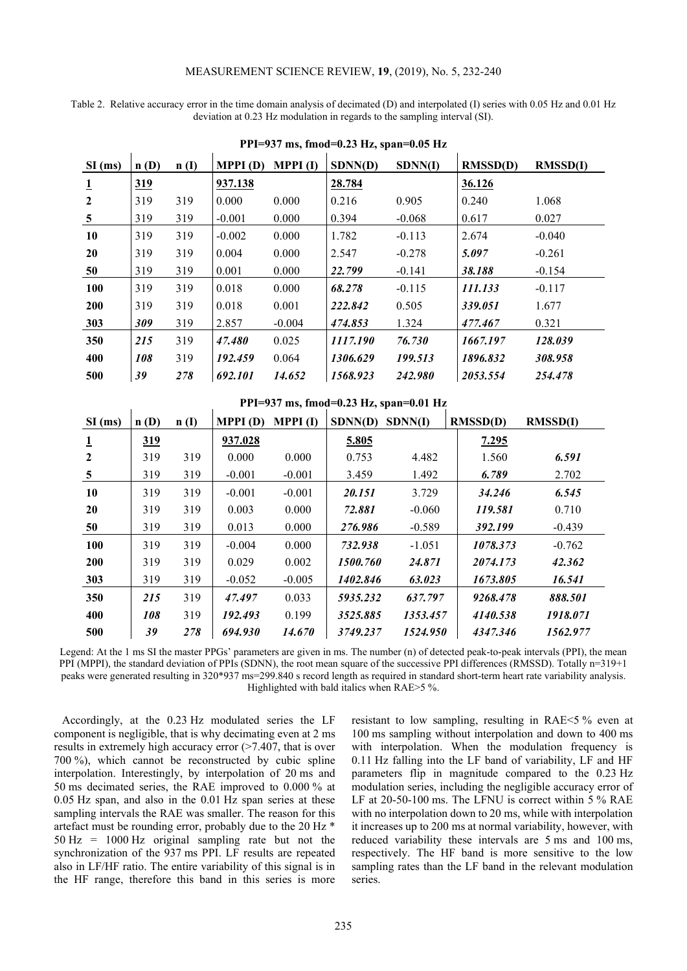## MEASUREMENT SCIENCE REVIEW, **19**, (2019), No. 5, 232-240

Table 2. Relative accuracy error in the time domain analysis of decimated (D) and interpolated (I) series with 0.05 Hz and 0.01 Hz deviation at 0.23 Hz modulation in regards to the sampling interval (SI).

| $SI$ (ms)      | n(D)       | n(I) | <b>MPPI</b> $(D)$ | MPPI(I)  | SDNN(D)  | SDNN(I)  | RMSSD(D) | RMSSD(I) |
|----------------|------------|------|-------------------|----------|----------|----------|----------|----------|
| $\mathbf 1$    | <u>319</u> |      | 937.138           |          | 28.784   |          | 36.126   |          |
| $\overline{2}$ | 319        | 319  | 0.000             | 0.000    | 0.216    | 0.905    | 0.240    | 1.068    |
| 5              | 319        | 319  | $-0.001$          | 0.000    | 0.394    | $-0.068$ | 0.617    | 0.027    |
| 10             | 319        | 319  | $-0.002$          | 0.000    | 1.782    | $-0.113$ | 2.674    | $-0.040$ |
| 20             | 319        | 319  | 0.004             | 0.000    | 2.547    | $-0.278$ | 5.097    | $-0.261$ |
| 50             | 319        | 319  | 0.001             | 0.000    | 22.799   | $-0.141$ | 38.188   | $-0.154$ |
| 100            | 319        | 319  | 0.018             | 0.000    | 68.278   | $-0.115$ | 111.133  | $-0.117$ |
| 200            | 319        | 319  | 0.018             | 0.001    | 222.842  | 0.505    | 339.051  | 1.677    |
| 303            | 309        | 319  | 2.857             | $-0.004$ | 474.853  | 1.324    | 477.467  | 0.321    |
| 350            | 215        | 319  | 47.480            | 0.025    | 1117.190 | 76.730   | 1667.197 | 128.039  |
| 400            | 108        | 319  | 192.459           | 0.064    | 1306.629 | 199.513  | 1896.832 | 308.958  |
| 500            | 39         | 278  | 692.101           | 14.652   | 1568.923 | 242.980  | 2053.554 | 254.478  |

**PPI=937 ms, fmod=0.23 Hz, span=0.05 Hz** 

|  |  |  |  | PPI=937 ms, fmod=0.23 Hz, span=0.01 Hz |  |
|--|--|--|--|----------------------------------------|--|
|--|--|--|--|----------------------------------------|--|

| $111 \times 70$ may move $0.40$ may span $0.01$ ma |      |      |          |                   |                |          |                 |          |  |
|----------------------------------------------------|------|------|----------|-------------------|----------------|----------|-----------------|----------|--|
| $SI$ (ms)                                          | n(D) | n(I) | MPPI(D)  | <b>MPPI</b> $(I)$ | <b>SDNN(D)</b> | SDNN(I)  | <b>RMSSD(D)</b> | RMSSD(I) |  |
| <u>1</u>                                           | 319  |      | 937.028  |                   | 5.805          |          | 7.295           |          |  |
| $\mathbf{2}$                                       | 319  | 319  | 0.000    | 0.000             | 0.753          | 4.482    | 1.560           | 6.591    |  |
| 5                                                  | 319  | 319  | $-0.001$ | $-0.001$          | 3.459          | 1.492    | 6.789           | 2.702    |  |
| 10                                                 | 319  | 319  | $-0.001$ | $-0.001$          | 20.151         | 3.729    | 34.246          | 6.545    |  |
| 20                                                 | 319  | 319  | 0.003    | 0.000             | 72.881         | $-0.060$ | 119.581         | 0.710    |  |
| 50                                                 | 319  | 319  | 0.013    | 0.000             | 276.986        | $-0.589$ | 392.199         | $-0.439$ |  |
| 100                                                | 319  | 319  | $-0.004$ | 0.000             | 732.938        | $-1.051$ | 1078.373        | $-0.762$ |  |
| 200                                                | 319  | 319  | 0.029    | 0.002             | 1500.760       | 24.871   | 2074.173        | 42.362   |  |
| 303                                                | 319  | 319  | $-0.052$ | $-0.005$          | 1402.846       | 63.023   | 1673.805        | 16.541   |  |
| 350                                                | 215  | 319  | 47.497   | 0.033             | 5935.232       | 637.797  | 9268.478        | 888.501  |  |
| 400                                                | 108  | 319  | 192.493  | 0.199             | 3525.885       | 1353.457 | 4140.538        | 1918.071 |  |
| 500                                                | 39   | 278  | 694.930  | 14.670            | 3749.237       | 1524.950 | 4347.346        | 1562.977 |  |

Legend: At the 1 ms SI the master PPGs' parameters are given in ms. The number (n) of detected peak-to-peak intervals (PPI), the mean PPI (MPPI), the standard deviation of PPIs (SDNN), the root mean square of the successive PPI differences (RMSSD). Totally n=319+1 peaks were generated resulting in 320\*937 ms=299.840 s record length as required in standard short-term heart rate variability analysis. Highlighted with bald italics when RAE>5 %.

Accordingly, at the 0.23 Hz modulated series the LF component is negligible, that is why decimating even at 2 ms results in extremely high accuracy error ( $>7.407$ , that is over 700 %), which cannot be reconstructed by cubic spline interpolation. Interestingly, by interpolation of 20 ms and 50 ms decimated series, the RAE improved to 0.000 % at 0.05 Hz span, and also in the 0.01 Hz span series at these sampling intervals the RAE was smaller. The reason for this artefact must be rounding error, probably due to the 20 Hz \*  $50$  Hz = 1000 Hz original sampling rate but not the synchronization of the 937 ms PPI. LF results are repeated also in LF/HF ratio. The entire variability of this signal is in the HF range, therefore this band in this series is more

resistant to low sampling, resulting in RAE<5 % even at 100 ms sampling without interpolation and down to 400 ms with interpolation. When the modulation frequency is 0.11 Hz falling into the LF band of variability, LF and HF parameters flip in magnitude compared to the 0.23 Hz modulation series, including the negligible accuracy error of LF at 20-50-100 ms. The LFNU is correct within 5 % RAE with no interpolation down to 20 ms, while with interpolation it increases up to 200 ms at normal variability, however, with reduced variability these intervals are 5 ms and 100 ms, respectively. The HF band is more sensitive to the low sampling rates than the LF band in the relevant modulation series.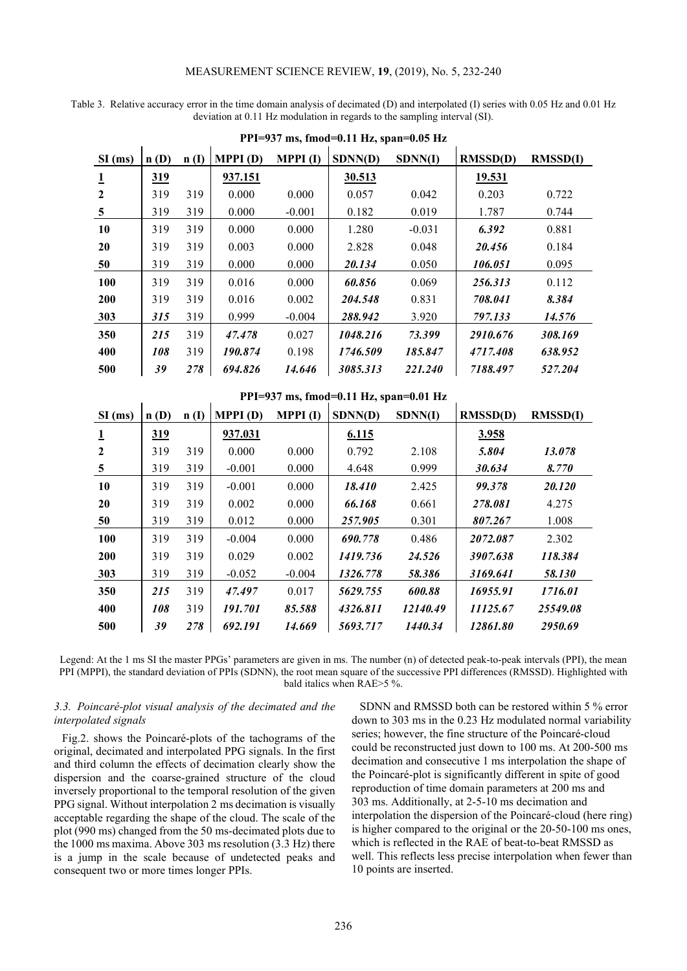#### MEASUREMENT SCIENCE REVIEW, **19**, (2019), No. 5, 232-240

Table 3. Relative accuracy error in the time domain analysis of decimated (D) and interpolated (I) series with 0.05 Hz and 0.01 Hz deviation at 0.11 Hz modulation in regards to the sampling interval (SI).

| $SI$ (ms)      | n(D) | n(I) | <b>MPPI</b> (D) | MPPI(I)  | SDNN(D)  | SDNN(I)  | RMSSD(D) | <b>RMSSD(I)</b> |
|----------------|------|------|-----------------|----------|----------|----------|----------|-----------------|
| $\mathbf{1}$   | 319  |      | 937.151         |          | 30.513   |          | 19.531   |                 |
| $\overline{2}$ | 319  | 319  | 0.000           | 0.000    | 0.057    | 0.042    | 0.203    | 0.722           |
| 5              | 319  | 319  | 0.000           | $-0.001$ | 0.182    | 0.019    | 1.787    | 0.744           |
| 10             | 319  | 319  | 0.000           | 0.000    | 1.280    | $-0.031$ | 6.392    | 0.881           |
| <b>20</b>      | 319  | 319  | 0.003           | 0.000    | 2.828    | 0.048    | 20.456   | 0.184           |
| 50             | 319  | 319  | 0.000           | 0.000    | 20.134   | 0.050    | 106.051  | 0.095           |
| 100            | 319  | 319  | 0.016           | 0.000    | 60.856   | 0.069    | 256.313  | 0.112           |
| <b>200</b>     | 319  | 319  | 0.016           | 0.002    | 204.548  | 0.831    | 708.041  | 8.384           |
| 303            | 315  | 319  | 0.999           | $-0.004$ | 288.942  | 3.920    | 797.133  | 14.576          |
| 350            | 215  | 319  | 47.478          | 0.027    | 1048.216 | 73.399   | 2910.676 | 308.169         |
| 400            | 108  | 319  | 190.874         | 0.198    | 1746.509 | 185.847  | 4717.408 | 638.952         |
| 500            | 39   | 278  | 694.826         | 14.646   | 3085.313 | 221.240  | 7188.497 | 527.204         |

**PPI=937 ms, fmod=0.11 Hz, span=0.05 Hz** 

| PPI=937 ms, fmod=0.11 Hz, span=0.01 Hz |            |      |                 |          |          |          |          |                 |  |  |
|----------------------------------------|------------|------|-----------------|----------|----------|----------|----------|-----------------|--|--|
| $SI$ (ms)                              | n(D)       | n(I) | <b>MPPI</b> (D) | MPPI(I)  | SDNN(D)  | SDNN(I)  | RMSSD(D) | <b>RMSSD(I)</b> |  |  |
| $\mathbf 1$                            | <u>319</u> |      | 937.031         |          | 6.115    |          | 3.958    |                 |  |  |
| $\overline{2}$                         | 319        | 319  | 0.000           | 0.000    | 0.792    | 2.108    | 5.804    | 13.078          |  |  |
| 5                                      | 319        | 319  | $-0.001$        | 0.000    | 4.648    | 0.999    | 30.634   | 8.770           |  |  |
| 10                                     | 319        | 319  | $-0.001$        | 0.000    | 18.410   | 2.425    | 99.378   | 20.120          |  |  |
| 20                                     | 319        | 319  | 0.002           | 0.000    | 66.168   | 0.661    | 278.081  | 4.275           |  |  |
| 50                                     | 319        | 319  | 0.012           | 0.000    | 257.905  | 0.301    | 807.267  | 1.008           |  |  |
| <b>100</b>                             | 319        | 319  | $-0.004$        | 0.000    | 690.778  | 0.486    | 2072.087 | 2.302           |  |  |
| 200                                    | 319        | 319  | 0.029           | 0.002    | 1419.736 | 24.526   | 3907.638 | 118.384         |  |  |
| 303                                    | 319        | 319  | $-0.052$        | $-0.004$ | 1326.778 | 58.386   | 3169.641 | 58.130          |  |  |
| 350                                    | 215        | 319  | 47.497          | 0.017    | 5629.755 | 600.88   | 16955.91 | 1716.01         |  |  |
| 400                                    | 108        | 319  | 191.701         | 85.588   | 4326.811 | 12140.49 | 11125.67 | 25549.08        |  |  |
| 500                                    | 39         | 278  | 692.191         | 14.669   | 5693.717 | 1440.34  | 12861.80 | 2950.69         |  |  |

Legend: At the 1 ms SI the master PPGs' parameters are given in ms. The number (n) of detected peak-to-peak intervals (PPI), the mean PPI (MPPI), the standard deviation of PPIs (SDNN), the root mean square of the successive PPI differences (RMSSD). Highlighted with bald italics when RAE>5 %.

## *3.3. Poincaré-plot visual analysis of the decimated and the interpolated signals*

Fig.2. shows the Poincaré-plots of the tachograms of the original, decimated and interpolated PPG signals. In the first and third column the effects of decimation clearly show the dispersion and the coarse-grained structure of the cloud inversely proportional to the temporal resolution of the given PPG signal. Without interpolation 2 ms decimation is visually acceptable regarding the shape of the cloud. The scale of the plot (990 ms) changed from the 50 ms-decimated plots due to the 1000 ms maxima. Above 303 ms resolution (3.3 Hz) there is a jump in the scale because of undetected peaks and consequent two or more times longer PPIs.

SDNN and RMSSD both can be restored within 5 % error down to 303 ms in the 0.23 Hz modulated normal variability series; however, the fine structure of the Poincaré-cloud could be reconstructed just down to 100 ms. At 200-500 ms decimation and consecutive 1 ms interpolation the shape of the Poincaré-plot is significantly different in spite of good reproduction of time domain parameters at 200 ms and 303 ms. Additionally, at 2-5-10 ms decimation and interpolation the dispersion of the Poincaré-cloud (here ring) is higher compared to the original or the 20-50-100 ms ones, which is reflected in the RAE of beat-to-beat RMSSD as well. This reflects less precise interpolation when fewer than 10 points are inserted.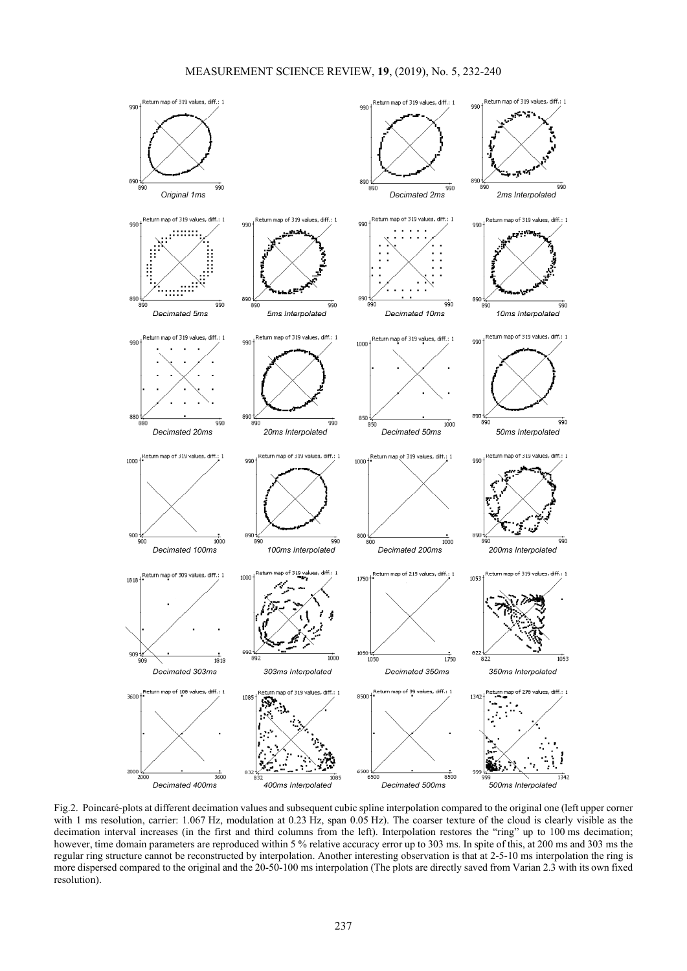

Fig.2.Poincaré-plots at different decimation values and subsequent cubic spline interpolation compared to the original one (left upper corner with 1 ms resolution, carrier: 1.067 Hz, modulation at 0.23 Hz, span 0.05 Hz). The coarser texture of the cloud is clearly visible as the decimation interval increases (in the first and third columns from the left). Interpolation restores the "ring" up to 100 ms decimation; however, time domain parameters are reproduced within 5 % relative accuracy error up to 303 ms. In spite of this, at 200 ms and 303 ms the regular ring structure cannot be reconstructed by interpolation. Another interesting observation is that at 2-5-10 ms interpolation the ring is more dispersed compared to the original and the 20-50-100 ms interpolation (The plots are directly saved from Varian 2.3 with its own fixed resolution).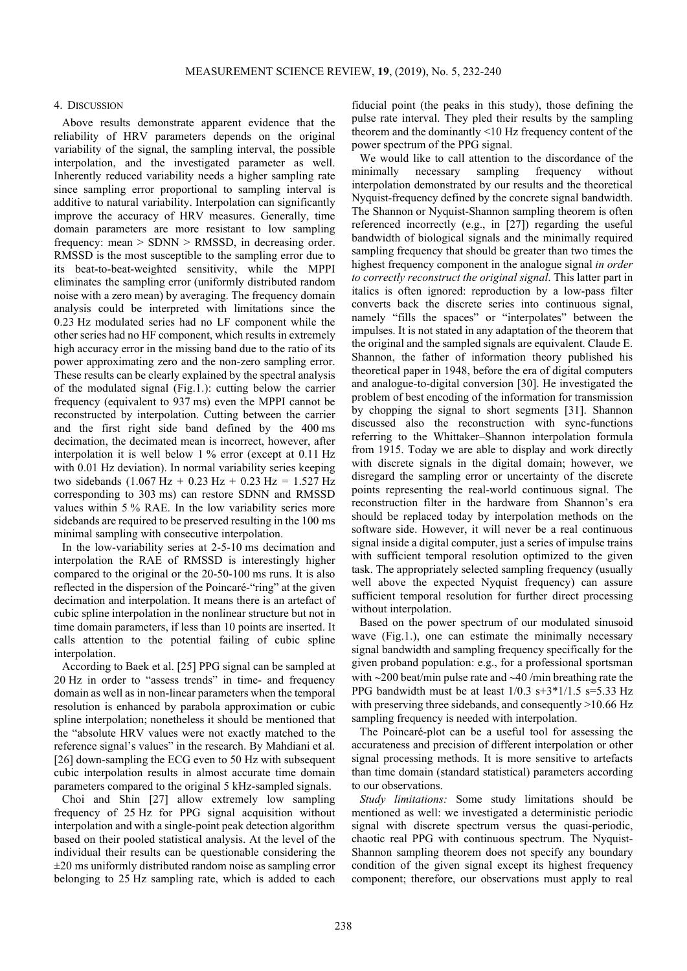#### 4. DISCUSSION

Above results demonstrate apparent evidence that the reliability of HRV parameters depends on the original variability of the signal, the sampling interval, the possible interpolation, and the investigated parameter as well. Inherently reduced variability needs a higher sampling rate since sampling error proportional to sampling interval is additive to natural variability. Interpolation can significantly improve the accuracy of HRV measures. Generally, time domain parameters are more resistant to low sampling frequency: mean > SDNN > RMSSD, in decreasing order. RMSSD is the most susceptible to the sampling error due to its beat-to-beat-weighted sensitivity, while the MPPI eliminates the sampling error (uniformly distributed random noise with a zero mean) by averaging. The frequency domain analysis could be interpreted with limitations since the 0.23 Hz modulated series had no LF component while the other series had no HF component, which results in extremely high accuracy error in the missing band due to the ratio of its power approximating zero and the non-zero sampling error. These results can be clearly explained by the spectral analysis of the modulated signal (Fig.1.): cutting below the carrier frequency (equivalent to 937 ms) even the MPPI cannot be reconstructed by interpolation. Cutting between the carrier and the first right side band defined by the 400 ms decimation, the decimated mean is incorrect, however, after interpolation it is well below 1 % error (except at 0.11 Hz with 0.01 Hz deviation). In normal variability series keeping two sidebands  $(1.067 \text{ Hz} + 0.23 \text{ Hz} + 0.23 \text{ Hz} = 1.527 \text{ Hz}$ corresponding to 303 ms) can restore SDNN and RMSSD values within 5 % RAE. In the low variability series more sidebands are required to be preserved resulting in the 100 ms minimal sampling with consecutive interpolation.

In the low-variability series at 2-5-10 ms decimation and interpolation the RAE of RMSSD is interestingly higher compared to the original or the 20-50-100 ms runs. It is also reflected in the dispersion of the Poincaré-"ring" at the given decimation and interpolation. It means there is an artefact of cubic spline interpolation in the nonlinear structure but not in time domain parameters, if less than 10 points are inserted. It calls attention to the potential failing of cubic spline interpolation.

According to Baek et al. [25] PPG signal can be sampled at 20 Hz in order to "assess trends" in time- and frequency domain as well as in non-linear parameters when the temporal resolution is enhanced by parabola approximation or cubic spline interpolation; nonetheless it should be mentioned that the "absolute HRV values were not exactly matched to the reference signal's values" in the research. By Mahdiani et al. [26] down-sampling the ECG even to 50 Hz with subsequent cubic interpolation results in almost accurate time domain parameters compared to the original 5 kHz-sampled signals.

Choi and Shin [27] allow extremely low sampling frequency of 25 Hz for PPG signal acquisition without interpolation and with a single-point peak detection algorithm based on their pooled statistical analysis. At the level of the individual their results can be questionable considering the  $\pm$ 20 ms uniformly distributed random noise as sampling error belonging to 25 Hz sampling rate, which is added to each

fiducial point (the peaks in this study), those defining the pulse rate interval. They pled their results by the sampling theorem and the dominantly <10 Hz frequency content of the power spectrum of the PPG signal.

We would like to call attention to the discordance of the minimally necessary sampling frequency without interpolation demonstrated by our results and the theoretical Nyquist-frequency defined by the concrete signal bandwidth. The Shannon or Nyquist-Shannon sampling theorem is often referenced incorrectly (e.g., in [27]) regarding the useful bandwidth of biological signals and the minimally required sampling frequency that should be greater than two times the highest frequency component in the analogue signal *in order to correctly reconstruct the original signal*. This latter part in italics is often ignored: reproduction by a low-pass filter converts back the discrete series into continuous signal, namely "fills the spaces" or "interpolates" between the impulses. It is not stated in any adaptation of the theorem that the original and the sampled signals are equivalent. Claude E. Shannon, the father of information theory published his theoretical paper in 1948, before the era of digital computers and analogue-to-digital conversion [30]. He investigated the problem of best encoding of the information for transmission by chopping the signal to short segments [31]. Shannon discussed also the reconstruction with sync-functions referring to the Whittaker–Shannon interpolation formula from 1915. Today we are able to display and work directly with discrete signals in the digital domain; however, we disregard the sampling error or uncertainty of the discrete points representing the real-world continuous signal. The reconstruction filter in the hardware from Shannon's era should be replaced today by interpolation methods on the software side. However, it will never be a real continuous signal inside a digital computer, just a series of impulse trains with sufficient temporal resolution optimized to the given task. The appropriately selected sampling frequency (usually well above the expected Nyquist frequency) can assure sufficient temporal resolution for further direct processing without interpolation.

Based on the power spectrum of our modulated sinusoid wave (Fig.1.), one can estimate the minimally necessary signal bandwidth and sampling frequency specifically for the given proband population: e.g., for a professional sportsman with ∼200 beat/min pulse rate and ∼40 /min breathing rate the PPG bandwidth must be at least  $1/0.3$  s+3\*1/1.5 s=5.33 Hz with preserving three sidebands, and consequently >10.66 Hz sampling frequency is needed with interpolation.

The Poincaré-plot can be a useful tool for assessing the accurateness and precision of different interpolation or other signal processing methods. It is more sensitive to artefacts than time domain (standard statistical) parameters according to our observations.

*Study limitations:* Some study limitations should be mentioned as well: we investigated a deterministic periodic signal with discrete spectrum versus the quasi-periodic, chaotic real PPG with continuous spectrum. The Nyquist-Shannon sampling theorem does not specify any boundary condition of the given signal except its highest frequency component; therefore, our observations must apply to real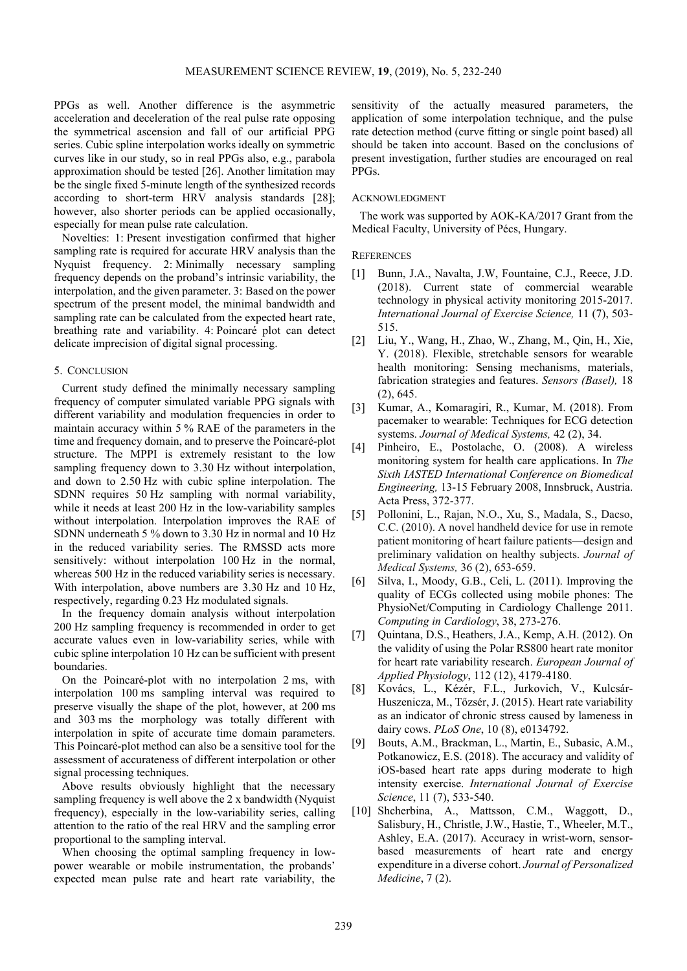PPGs as well. Another difference is the asymmetric acceleration and deceleration of the real pulse rate opposing the symmetrical ascension and fall of our artificial PPG series. Cubic spline interpolation works ideally on symmetric curves like in our study, so in real PPGs also, e.g., parabola approximation should be tested [26]. Another limitation may be the single fixed 5-minute length of the synthesized records according to short-term HRV analysis standards [28]; however, also shorter periods can be applied occasionally, especially for mean pulse rate calculation.

Novelties: 1: Present investigation confirmed that higher sampling rate is required for accurate HRV analysis than the Nyquist frequency. 2: Minimally necessary sampling frequency depends on the proband's intrinsic variability, the interpolation, and the given parameter. 3: Based on the power spectrum of the present model, the minimal bandwidth and sampling rate can be calculated from the expected heart rate, breathing rate and variability. 4: Poincaré plot can detect delicate imprecision of digital signal processing.

## 5. CONCLUSION

Current study defined the minimally necessary sampling frequency of computer simulated variable PPG signals with different variability and modulation frequencies in order to maintain accuracy within 5 % RAE of the parameters in the time and frequency domain, and to preserve the Poincaré-plot structure. The MPPI is extremely resistant to the low sampling frequency down to 3.30 Hz without interpolation, and down to 2.50 Hz with cubic spline interpolation. The SDNN requires 50 Hz sampling with normal variability, while it needs at least 200 Hz in the low-variability samples without interpolation. Interpolation improves the RAE of SDNN underneath 5 % down to 3.30 Hz in normal and 10 Hz in the reduced variability series. The RMSSD acts more sensitively: without interpolation 100 Hz in the normal, whereas 500 Hz in the reduced variability series is necessary. With interpolation, above numbers are 3.30 Hz and 10 Hz, respectively, regarding 0.23 Hz modulated signals.

In the frequency domain analysis without interpolation 200 Hz sampling frequency is recommended in order to get accurate values even in low-variability series, while with cubic spline interpolation 10 Hz can be sufficient with present boundaries.

On the Poincaré-plot with no interpolation 2 ms, with interpolation 100 ms sampling interval was required to preserve visually the shape of the plot, however, at 200 ms and 303 ms the morphology was totally different with interpolation in spite of accurate time domain parameters. This Poincaré-plot method can also be a sensitive tool for the assessment of accurateness of different interpolation or other signal processing techniques.

Above results obviously highlight that the necessary sampling frequency is well above the 2 x bandwidth (Nyquist frequency), especially in the low-variability series, calling attention to the ratio of the real HRV and the sampling error proportional to the sampling interval.

When choosing the optimal sampling frequency in lowpower wearable or mobile instrumentation, the probands' expected mean pulse rate and heart rate variability, the sensitivity of the actually measured parameters, the application of some interpolation technique, and the pulse rate detection method (curve fitting or single point based) all should be taken into account. Based on the conclusions of present investigation, further studies are encouraged on real PPGs.

## ACKNOWLEDGMENT

The work was supported by AOK-KA/2017 Grant from the Medical Faculty, University of Pécs, Hungary.

## **REFERENCES**

- [1] Bunn, J.A., Navalta, J.W, Fountaine, C.J., Reece, J.D. (2018). Current state of commercial wearable technology in physical activity monitoring 2015-2017. *International Journal of Exercise Science,* 11 (7), 503- 515.
- [2] Liu, Y., Wang, H., Zhao, W., Zhang, M., Qin, H., Xie, Y. (2018). Flexible, stretchable sensors for wearable health monitoring: Sensing mechanisms, materials, fabrication strategies and features. *Sensors (Basel),* 18 (2), 645.
- [3] Kumar, A., Komaragiri, R., Kumar, M. (2018). From pacemaker to wearable: Techniques for ECG detection systems. *Journal of Medical Systems,* 42 (2), 34.
- [4] Pinheiro, E., Postolache, O. (2008). A wireless monitoring system for health care applications. In *The Sixth IASTED International Conference on Biomedical Engineering,* 13-15 February 2008, Innsbruck, Austria. Acta Press, 372-377.
- [5] Pollonini, L., Rajan, N.O., Xu, S., Madala, S., Dacso, C.C. (2010). A novel handheld device for use in remote patient monitoring of heart failure patients—design and preliminary validation on healthy subjects. *Journal of Medical Systems,* 36 (2), 653-659.
- [6] Silva, I., Moody, G.B., Celi, L. (2011). Improving the quality of ECGs collected using mobile phones: The PhysioNet/Computing in Cardiology Challenge 2011. *Computing in Cardiology*, 38, 273-276.
- [7] Quintana, D.S., Heathers, J.A., Kemp, A.H. (2012). On the validity of using the Polar RS800 heart rate monitor for heart rate variability research. *European Journal of Applied Physiology*, 112 (12), 4179-4180.
- [8] Kovács, L., Kézér, F.L., Jurkovich, V., Kulcsár-Huszenicza, M., Tőzsér, J. (2015). Heart rate variability as an indicator of chronic stress caused by lameness in dairy cows. *PLoS One*, 10 (8), e0134792.
- [9] Bouts, A.M., Brackman, L., Martin, E., Subasic, A.M., Potkanowicz, E.S. (2018). The accuracy and validity of iOS-based heart rate apps during moderate to high intensity exercise. *International Journal of Exercise Science*, 11 (7), 533-540.
- [10] Shcherbina, A., Mattsson, C.M., Waggott, D., Salisbury, H., Christle, J.W., Hastie, T., Wheeler, M.T., Ashley, E.A. (2017). Accuracy in wrist-worn, sensorbased measurements of heart rate and energy expenditure in a diverse cohort. *Journal of Personalized Medicine*, 7 (2).